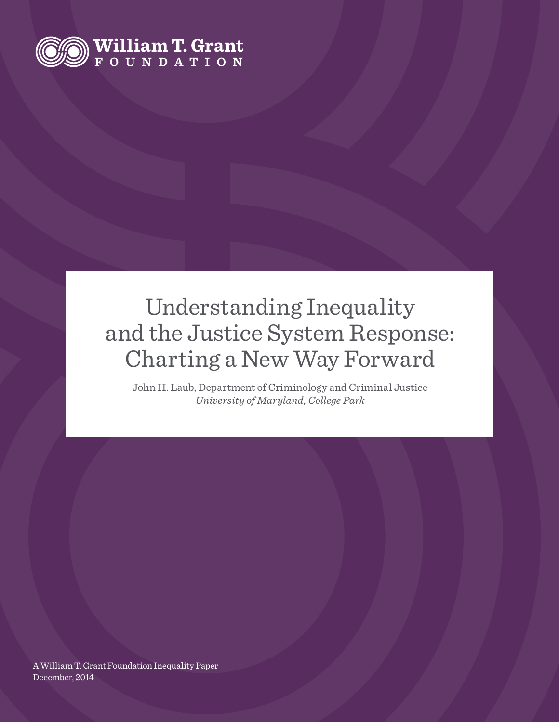

## Understanding Inequality and the Justice System Response: Charting a New Way Forward

John H. Laub, Department of Criminology and Criminal Justice *University of Maryland, College Park*

A William T. Grant Foundation Inequality Paper December, 2014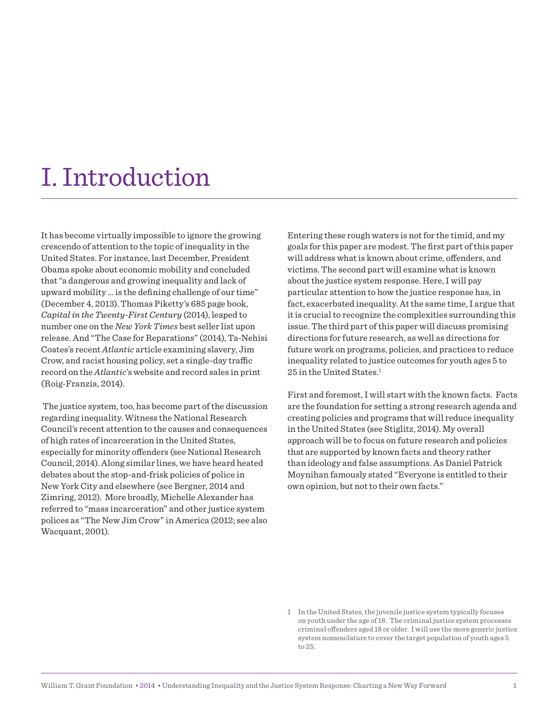## I. Introduction

It has become virtually impossible to ignore the growing crescendo of attention to the topic of inequality in the United States. For instance, last December, President Obama spoke about economic mobility and concluded that "a dangerous and growing inequality and lack of upward mobility ... is the defining challenge of our time" (December 4, 2013). Thomas Piketty's 685 page book, *Capital in the Twenty-First Century* (2014), leaped to number one on the *New York Times* best seller list upon release. And "The Case for Reparations" (2014), Ta-Nehisi Coates's recent *Atlantic* article examining slavery, Jim Crow, and racist housing policy, set a single-day traffic record on the *Atlantic*'s website and record sales in print (Roig-Franzia, 2014).

 The justice system, too, has become part of the discussion regarding inequality. Witness the National Research Council's recent attention to the causes and consequences of high rates of incarceration in the United States, especially for minority offenders (see National Research Council, 2014). Along similar lines, we have heard heated debates about the stop-and-frisk policies of police in New York City and elsewhere (see Bergner, 2014 and Zimring, 2012). More broadly, Michelle Alexander has referred to "mass incarceration" and other justice system polices as "The New Jim Crow" in America (2012; see also Wacquant, 2001).

Entering these rough waters is not for the timid, and my goals for this paper are modest. The first part of this paper will address what is known about crime, ofenders, and victims. The second part will examine what is known about the justice system response. Here, I will pay particular attention to how the justice response has, in fact, exacerbated inequality. At the same time, I argue that it is crucial to recognize the complexities surrounding this issue. The third part of this paper will discuss promising directions for future research, as well as directions for future work on programs, policies, and practices to reduce inequality related to justice outcomes for youth ages 5 to 25 in the United States.<sup>1</sup>

First and foremost, I will start with the known facts. Facts are the foundation for setting a strong research agenda and creating policies and programs that will reduce inequality in the United States (see Stiglitz, 2014). My overall approach will be to focus on future research and policies that are supported by known facts and theory rather than ideology and false assumptions. As Daniel Patrick Moynihan famously stated "Everyone is entitled to their own opinion, but not to their own facts."

<sup>1</sup> In the United States, the juvenile justice system typically focuses on youth under the age of 18. The criminal justice system processes criminal ofenders aged 18 or older. I will use the more generic justice system nomenclature to cover the target population of youth ages 5 to 25.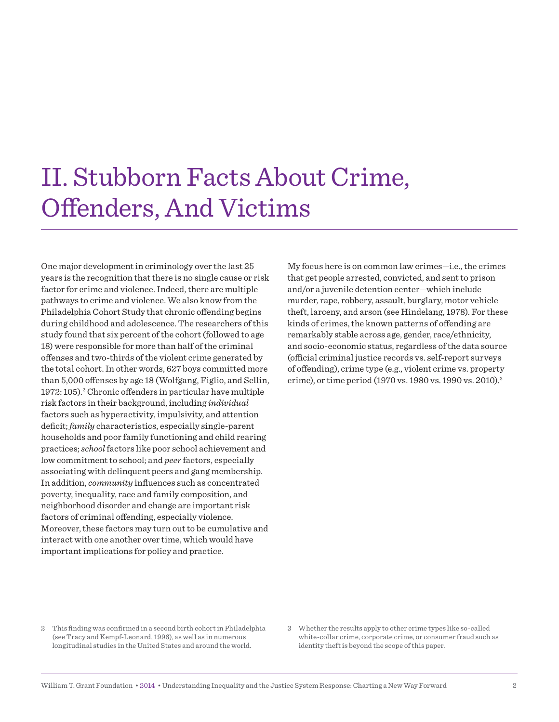## II. Stubborn Facts About Crime, Ofenders, And Victims

One major development in criminology over the last 25 years is the recognition that there is no single cause or risk factor for crime and violence. Indeed, there are multiple pathways to crime and violence. We also know from the Philadelphia Cohort Study that chronic offending begins during childhood and adolescence. The researchers of this study found that six percent of the cohort (followed to age 18) were responsible for more than half of the criminal ofenses and two-thirds of the violent crime generated by the total cohort. In other words, 627 boys committed more than 5,000 ofenses by age 18 (Wolfgang, Figlio, and Sellin, 1972: 105).<sup>2</sup> Chronic offenders in particular have multiple risk factors in their background, including *individual* factors such as hyperactivity, impulsivity, and attention deficit; *family* characteristics, especially single-parent households and poor family functioning and child rearing practices; *school* factors like poor school achievement and low commitment to school; and *peer* factors, especially associating with delinquent peers and gang membership. In addition, *community* influences such as concentrated poverty, inequality, race and family composition, and neighborhood disorder and change are important risk factors of criminal offending, especially violence. Moreover, these factors may turn out to be cumulative and interact with one another over time, which would have important implications for policy and practice.

My focus here is on common law crimes—i.e., the crimes that get people arrested, convicted, and sent to prison and/or a juvenile detention center—which include murder, rape, robbery, assault, burglary, motor vehicle theft, larceny, and arson (see Hindelang, 1978). For these kinds of crimes, the known patterns of offending are remarkably stable across age, gender, race/ethnicity, and socio-economic status, regardless of the data source (official criminal justice records vs. self-report surveys of offending), crime type (e.g., violent crime vs. property crime), or time period (1970 vs. 1980 vs. 1990 vs. 2010).<sup>3</sup>

- 2 This finding was confirmed in a second birth cohort in Philadelphia (see Tracy and Kempf-Leonard, 1996), as well as in numerous longitudinal studies in the United States and around the world.
- 3 Whether the results apply to other crime types like so-called white-collar crime, corporate crime, or consumer fraud such as identity theft is beyond the scope of this paper.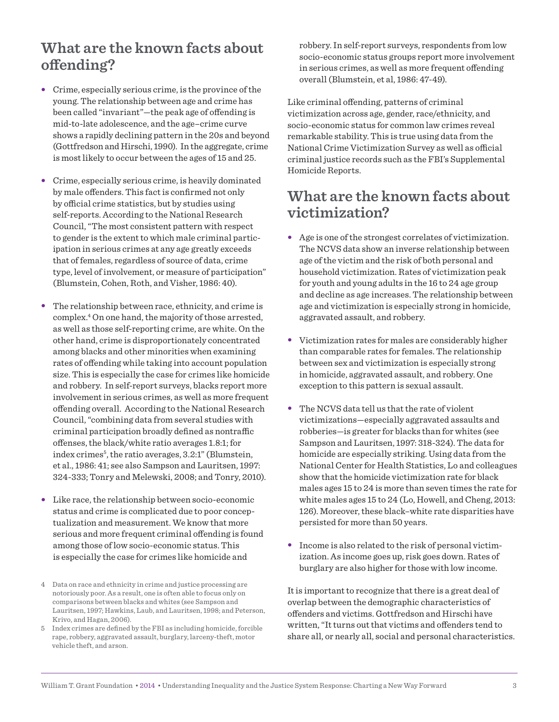### **What are the known facts about ofending?**

- · Crime, especially serious crime, is the province of the young. The relationship between age and crime has been called "invariant"—the peak age of ofending is mid-to-late adolescence, and the age–crime curve shows a rapidly declining pattern in the 20s and beyond (Gottfredson and Hirschi, 1990). In the aggregate, crime is most likely to occur between the ages of 15 and 25.
- · Crime, especially serious crime, is heavily dominated by male offenders. This fact is confirmed not only by official crime statistics, but by studies using self-reports. According to the National Research Council, "The most consistent pattern with respect to gender is the extent to which male criminal participation in serious crimes at any age greatly exceeds that of females, regardless of source of data, crime type, level of involvement, or measure of participation" (Blumstein, Cohen, Roth, and Visher, 1986: 40).
- · The relationship between race, ethnicity, and crime is complex.<sup>4</sup> On one hand, the majority of those arrested, as well as those self-reporting crime, are white. On the other hand, crime is disproportionately concentrated among blacks and other minorities when examining rates of ofending while taking into account population size. This is especially the case for crimes like homicide and robbery. In self-report surveys, blacks report more involvement in serious crimes, as well as more frequent ofending overall. According to the National Research Council, "combining data from several studies with criminal participation broadly defined as nontraffic ofenses, the black/white ratio averages 1.8:1; for index crimes<sup>5</sup>, the ratio averages, 3.2:1" (Blumstein, et al., 1986: 41; see also Sampson and Lauritsen, 1997: 324-333; Tonry and Melewski, 2008; and Tonry, 2010).
- · Like race, the relationship between socio-economic status and crime is complicated due to poor conceptualization and measurement. We know that more serious and more frequent criminal offending is found among those of low socio-economic status. This is especially the case for crimes like homicide and
- 4 Data on race and ethnicity in crime and justice processing are notoriously poor. As a result, one is often able to focus only on comparisons between blacks and whites (see Sampson and Lauritsen, 1997; Hawkins, Laub, and Lauritsen, 1998; and Peterson, Krivo, and Hagan, 2006).
- 5 Index crimes are deined by the FBI as including homicide, forcible rape, robbery, aggravated assault, burglary, larceny-theft, motor vehicle theft, and arson.

robbery. In self-report surveys, respondents from low socio-economic status groups report more involvement in serious crimes, as well as more frequent offending overall (Blumstein, et al, 1986: 47-49).

Like criminal offending, patterns of criminal victimization across age, gender, race/ethnicity, and socio-economic status for common law crimes reveal remarkable stability. This is true using data from the National Crime Victimization Survey as well as official criminal justice records such as the FBI's Supplemental Homicide Reports.

### **What are the known facts about victimization?**

- · Age is one of the strongest correlates of victimization. The NCVS data show an inverse relationship between age of the victim and the risk of both personal and household victimization. Rates of victimization peak for youth and young adults in the 16 to 24 age group and decline as age increases. The relationship between age and victimization is especially strong in homicide, aggravated assault, and robbery.
- · Victimization rates for males are considerably higher than comparable rates for females. The relationship between sex and victimization is especially strong in homicide, aggravated assault, and robbery. One exception to this pattern is sexual assault.
- · The NCVS data tell us that the rate of violent victimizations—especially aggravated assaults and robberies—is greater for blacks than for whites (see Sampson and Lauritsen, 1997: 318-324). The data for homicide are especially striking. Using data from the National Center for Health Statistics, Lo and colleagues show that the homicide victimization rate for black males ages 15 to 24 is more than seven times the rate for white males ages 15 to 24 (Lo, Howell, and Cheng, 2013: 126). Moreover, these black–white rate disparities have persisted for more than 50 years.
- · Income is also related to the risk of personal victimization. As income goes up, risk goes down. Rates of burglary are also higher for those with low income.

It is important to recognize that there is a great deal of overlap between the demographic characteristics of ofenders and victims. Gottfredson and Hirschi have written, "It turns out that victims and offenders tend to share all, or nearly all, social and personal characteristics.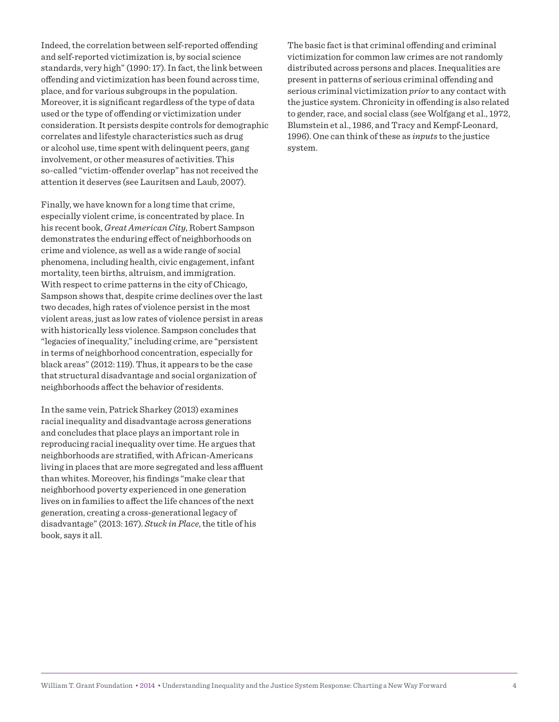Indeed, the correlation between self-reported offending and self-reported victimization is, by social science standards, very high" (1990: 17). In fact, the link between ofending and victimization has been found across time, place, and for various subgroups in the population. Moreover, it is significant regardless of the type of data used or the type of ofending or victimization under consideration. It persists despite controls for demographic correlates and lifestyle characteristics such as drug or alcohol use, time spent with delinquent peers, gang involvement, or other measures of activities. This so-called "victim-offender overlap" has not received the attention it deserves (see Lauritsen and Laub, 2007).

Finally, we have known for a long time that crime, especially violent crime, is concentrated by place. In his recent book, *Great American City*, Robert Sampson demonstrates the enduring effect of neighborhoods on crime and violence, as well as a wide range of social phenomena, including health, civic engagement, infant mortality, teen births, altruism, and immigration. With respect to crime patterns in the city of Chicago, Sampson shows that, despite crime declines over the last two decades, high rates of violence persist in the most violent areas, just as low rates of violence persist in areas with historically less violence. Sampson concludes that "legacies of inequality," including crime, are "persistent in terms of neighborhood concentration, especially for black areas" (2012: 119). Thus, it appears to be the case that structural disadvantage and social organization of neighborhoods afect the behavior of residents.

In the same vein, Patrick Sharkey (2013) examines racial inequality and disadvantage across generations and concludes that place plays an important role in reproducing racial inequality over time. He argues that neighborhoods are stratiied, with African-Americans living in places that are more segregated and less affluent than whites. Moreover, his findings "make clear that neighborhood poverty experienced in one generation lives on in families to afect the life chances of the next generation, creating a cross-generational legacy of disadvantage" (2013: 167). *Stuck in Place*, the title of his book, says it all.

The basic fact is that criminal offending and criminal victimization for common law crimes are not randomly distributed across persons and places. Inequalities are present in patterns of serious criminal ofending and serious criminal victimization *prior* to any contact with the justice system. Chronicity in ofending is also related to gender, race, and social class (see Wolfgang et al., 1972, Blumstein et al., 1986, and Tracy and Kempf-Leonard, 1996). One can think of these as *inputs* to the justice system.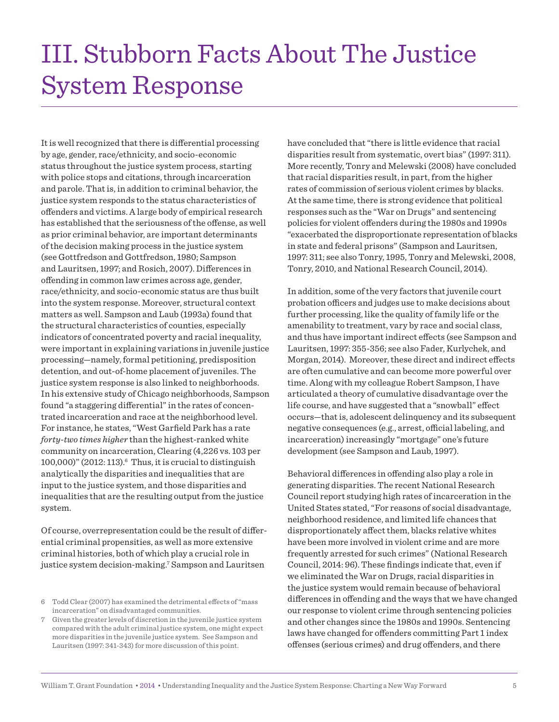## III. Stubborn Facts About The Justice System Response

It is well recognized that there is diferential processing by age, gender, race/ethnicity, and socio-economic status throughout the justice system process, starting with police stops and citations, through incarceration and parole. That is, in addition to criminal behavior, the justice system responds to the status characteristics of ofenders and victims. A large body of empirical research has established that the seriousness of the offense, as well as prior criminal behavior, are important determinants of the decision making process in the justice system (see Gottfredson and Gottfredson, 1980; Sampson and Lauritsen, 1997; and Rosich, 2007). Diferences in ofending in common law crimes across age, gender, race/ethnicity, and socio-economic status are thus built into the system response. Moreover, structural context matters as well. Sampson and Laub (1993a) found that the structural characteristics of counties, especially indicators of concentrated poverty and racial inequality, were important in explaining variations in juvenile justice processing—namely, formal petitioning, predisposition detention, and out-of-home placement of juveniles. The justice system response is also linked to neighborhoods. In his extensive study of Chicago neighborhoods, Sampson found "a staggering diferential" in the rates of concentrated incarceration and race at the neighborhood level. For instance, he states, "West Garield Park has a rate *forty-two times higher* than the highest-ranked white community on incarceration, Clearing (4,226 vs. 103 per 100,000)" (2012: 113).<sup>6</sup> Thus, it is crucial to distinguish analytically the disparities and inequalities that are input to the justice system, and those disparities and inequalities that are the resulting output from the justice system.

Of course, overrepresentation could be the result of diferential criminal propensities, as well as more extensive criminal histories, both of which play a crucial role in justice system decision-making.<sup>7</sup> Sampson and Lauritsen

have concluded that "there is little evidence that racial disparities result from systematic, overt bias" (1997: 311). More recently, Tonry and Melewski (2008) have concluded that racial disparities result, in part, from the higher rates of commission of serious violent crimes by blacks. At the same time, there is strong evidence that political responses such as the "War on Drugs" and sentencing policies for violent ofenders during the 1980s and 1990s "exacerbated the disproportionate representation of blacks in state and federal prisons" (Sampson and Lauritsen, 1997: 311; see also Tonry, 1995, Tonry and Melewski, 2008, Tonry, 2010, and National Research Council, 2014).

In addition, some of the very factors that juvenile court probation officers and judges use to make decisions about further processing, like the quality of family life or the amenability to treatment, vary by race and social class, and thus have important indirect efects (see Sampson and Lauritsen, 1997: 355-356; see also Fader, Kurlychek, and Morgan, 2014). Moreover, these direct and indirect efects are often cumulative and can become more powerful over time. Along with my colleague Robert Sampson, I have articulated a theory of cumulative disadvantage over the life course, and have suggested that a "snowball" effect occurs—that is, adolescent delinquency and its subsequent negative consequences (e.g., arrest, official labeling, and incarceration) increasingly "mortgage" one's future development (see Sampson and Laub, 1997).

Behavioral differences in offending also play a role in generating disparities. The recent National Research Council report studying high rates of incarceration in the United States stated, "For reasons of social disadvantage, neighborhood residence, and limited life chances that disproportionately afect them, blacks relative whites have been more involved in violent crime and are more frequently arrested for such crimes" (National Research Council, 2014: 96). These findings indicate that, even if we eliminated the War on Drugs, racial disparities in the justice system would remain because of behavioral diferences in ofending and the ways that we have changed our response to violent crime through sentencing policies and other changes since the 1980s and 1990s. Sentencing laws have changed for offenders committing Part 1 index ofenses (serious crimes) and drug ofenders, and there

<sup>6</sup> Todd Clear (2007) has examined the detrimental efects of "mass incarceration" on disadvantaged communities.

<sup>7</sup> Given the greater levels of discretion in the juvenile justice system compared with the adult criminal justice system, one might expect more disparities in the juvenile justice system. See Sampson and Lauritsen (1997: 341-343) for more discussion of this point.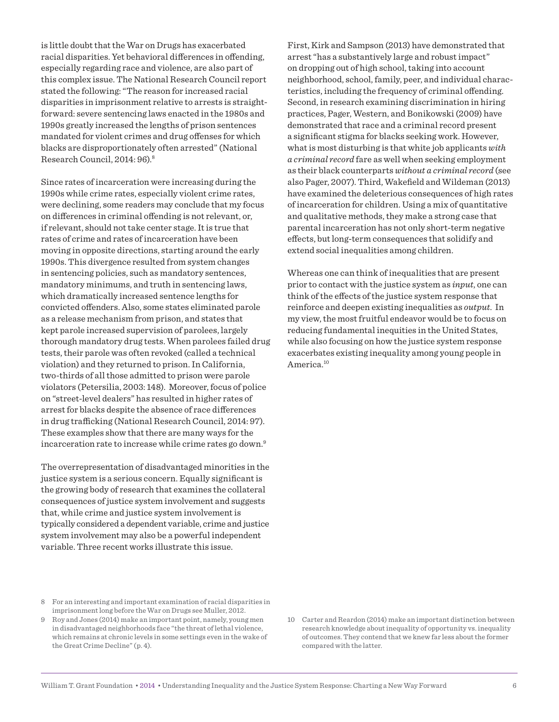is little doubt that the War on Drugs has exacerbated racial disparities. Yet behavioral diferences in ofending, especially regarding race and violence, are also part of this complex issue. The National Research Council report stated the following: "The reason for increased racial disparities in imprisonment relative to arrests is straightforward: severe sentencing laws enacted in the 1980s and 1990s greatly increased the lengths of prison sentences mandated for violent crimes and drug offenses for which blacks are disproportionately often arrested" (National Research Council, 2014: 96).<sup>8</sup>

Since rates of incarceration were increasing during the 1990s while crime rates, especially violent crime rates, were declining, some readers may conclude that my focus on differences in criminal offending is not relevant, or, if relevant, should not take center stage. It is true that rates of crime and rates of incarceration have been moving in opposite directions, starting around the early 1990s. This divergence resulted from system changes in sentencing policies, such as mandatory sentences, mandatory minimums, and truth in sentencing laws, which dramatically increased sentence lengths for convicted ofenders. Also, some states eliminated parole as a release mechanism from prison, and states that kept parole increased supervision of parolees, largely thorough mandatory drug tests. When parolees failed drug tests, their parole was often revoked (called a technical violation) and they returned to prison. In California, two-thirds of all those admitted to prison were parole violators (Petersilia, 2003: 148). Moreover, focus of police on "street-level dealers" has resulted in higher rates of arrest for blacks despite the absence of race diferences in drug trafficking (National Research Council, 2014: 97). These examples show that there are many ways for the incarceration rate to increase while crime rates go down.<sup>9</sup>

The overrepresentation of disadvantaged minorities in the justice system is a serious concern. Equally significant is the growing body of research that examines the collateral consequences of justice system involvement and suggests that, while crime and justice system involvement is typically considered a dependent variable, crime and justice system involvement may also be a powerful independent variable. Three recent works illustrate this issue.

8 For an interesting and important examination of racial disparities in imprisonment long before the War on Drugs see Muller, 2012. 9 Roy and Jones (2014) make an important point, namely, young men in disadvantaged neighborhoods face "the threat of lethal violence,

First, Kirk and Sampson (2013) have demonstrated that arrest "has a substantively large and robust impact" on dropping out of high school, taking into account neighborhood, school, family, peer, and individual characteristics, including the frequency of criminal ofending. Second, in research examining discrimination in hiring practices, Pager, Western, and Bonikowski (2009) have demonstrated that race and a criminal record present a signiicant stigma for blacks seeking work. However, what is most disturbing is that white job applicants *with a criminal record* fare as well when seeking employment as their black counterparts *without a criminal record* (see also Pager, 2007). Third, Wakefield and Wildeman (2013) have examined the deleterious consequences of high rates of incarceration for children. Using a mix of quantitative and qualitative methods, they make a strong case that parental incarceration has not only short-term negative efects, but long-term consequences that solidify and extend social inequalities among children.

Whereas one can think of inequalities that are present prior to contact with the justice system as *input*, one can think of the efects of the justice system response that reinforce and deepen existing inequalities as *output*. In my view, the most fruitful endeavor would be to focus on reducing fundamental inequities in the United States, while also focusing on how the justice system response exacerbates existing inequality among young people in America<sup>10</sup>

10 Carter and Reardon (2014) make an important distinction between research knowledge about inequality of opportunity vs. inequality of outcomes. They contend that we knew far less about the former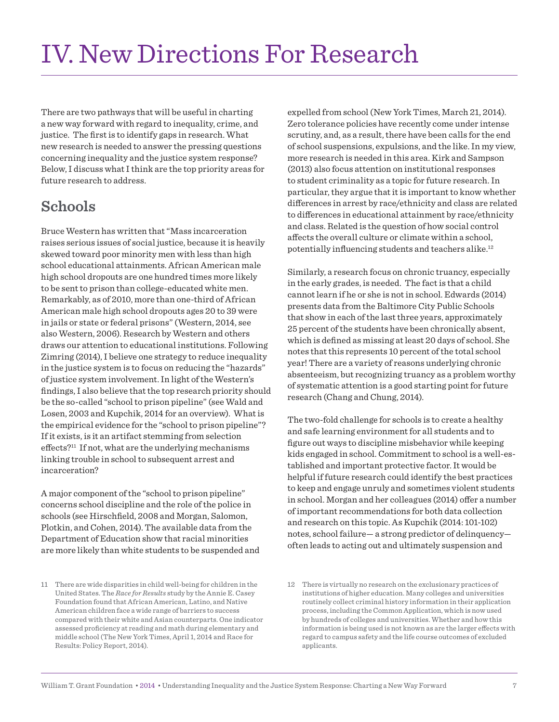There are two pathways that will be useful in charting a new way forward with regard to inequality, crime, and justice. The first is to identify gaps in research. What new research is needed to answer the pressing questions concerning inequality and the justice system response? Below, I discuss what I think are the top priority areas for future research to address.

## **Schools**

Bruce Western has written that "Mass incarceration raises serious issues of social justice, because it is heavily skewed toward poor minority men with less than high school educational attainments. African American male high school dropouts are one hundred times more likely to be sent to prison than college-educated white men. Remarkably, as of 2010, more than one-third of African American male high school dropouts ages 20 to 39 were in jails or state or federal prisons" (Western, 2014, see also Western, 2006). Research by Western and others draws our attention to educational institutions. Following Zimring (2014), I believe one strategy to reduce inequality in the justice system is to focus on reducing the "hazards" of justice system involvement. In light of the Western's findings, I also believe that the top research priority should be the so-called "school to prison pipeline" (see Wald and Losen, 2003 and Kupchik, 2014 for an overview). What is the empirical evidence for the "school to prison pipeline"? If it exists, is it an artifact stemming from selection  $effects$ <sup>211</sup> If not, what are the underlying mechanisms linking trouble in school to subsequent arrest and incarceration?

A major component of the "school to prison pipeline" concerns school discipline and the role of the police in schools (see Hirschfield, 2008 and Morgan, Salomon, Plotkin, and Cohen, 2014). The available data from the Department of Education show that racial minorities are more likely than white students to be suspended and

11 There are wide disparities in child well-being for children in the United States. The *Race for Results* study by the Annie E. Casey Foundation found that African American, Latino, and Native American children face a wide range of barriers to success compared with their white and Asian counterparts. One indicator assessed proficiency at reading and math during elementary and middle school (The New York Times, April 1, 2014 and Race for Results: Policy Report, 2014).

expelled from school (New York Times, March 21, 2014). Zero tolerance policies have recently come under intense scrutiny, and, as a result, there have been calls for the end of school suspensions, expulsions, and the like. In my view, more research is needed in this area. Kirk and Sampson (2013) also focus attention on institutional responses to student criminality as a topic for future research. In particular, they argue that it is important to know whether diferences in arrest by race/ethnicity and class are related to diferences in educational attainment by race/ethnicity and class. Related is the question of how social control afects the overall culture or climate within a school, potentially influencing students and teachers alike. $^{12}$ 

Similarly, a research focus on chronic truancy, especially in the early grades, is needed. The fact is that a child cannot learn if he or she is not in school. Edwards (2014) presents data from the Baltimore City Public Schools that show in each of the last three years, approximately 25 percent of the students have been chronically absent, which is defined as missing at least 20 days of school. She notes that this represents 10 percent of the total school year! There are a variety of reasons underlying chronic absenteeism, but recognizing truancy as a problem worthy of systematic attention is a good starting point for future research (Chang and Chung, 2014).

The two-fold challenge for schools is to create a healthy and safe learning environment for all students and to igure out ways to discipline misbehavior while keeping kids engaged in school. Commitment to school is a well-established and important protective factor. It would be helpful if future research could identify the best practices to keep and engage unruly and sometimes violent students in school. Morgan and her colleagues (2014) offer a number of important recommendations for both data collection and research on this topic. As Kupchik (2014: 101-102) notes, school failure— a strong predictor of delinquency often leads to acting out and ultimately suspension and

<sup>12</sup> There is virtually no research on the exclusionary practices of institutions of higher education. Many colleges and universities routinely collect criminal history information in their application process, including the Common Application, which is now used by hundreds of colleges and universities. Whether and how this information is being used is not known as are the larger efects with regard to campus safety and the life course outcomes of excluded applicants.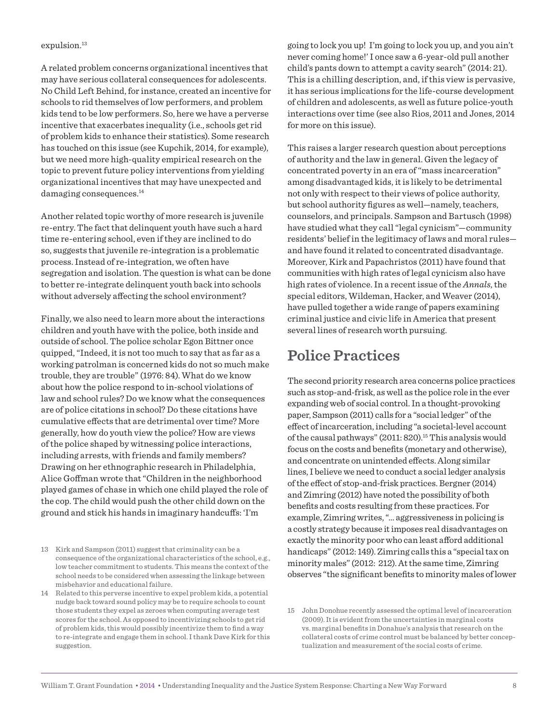#### expulsion.<sup>13</sup>

A related problem concerns organizational incentives that may have serious collateral consequences for adolescents. No Child Left Behind, for instance, created an incentive for schools to rid themselves of low performers, and problem kids tend to be low performers. So, here we have a perverse incentive that exacerbates inequality (i.e., schools get rid of problem kids to enhance their statistics). Some research has touched on this issue (see Kupchik, 2014, for example), but we need more high-quality empirical research on the topic to prevent future policy interventions from yielding organizational incentives that may have unexpected and damaging consequences.<sup>14</sup>

Another related topic worthy of more research is juvenile re-entry. The fact that delinquent youth have such a hard time re-entering school, even if they are inclined to do so, suggests that juvenile re-integration is a problematic process. Instead of re-integration, we often have segregation and isolation. The question is what can be done to better re-integrate delinquent youth back into schools without adversely afecting the school environment?

Finally, we also need to learn more about the interactions children and youth have with the police, both inside and outside of school. The police scholar Egon Bittner once quipped, "Indeed, it is not too much to say that as far as a working patrolman is concerned kids do not so much make trouble, they are trouble" (1976: 84). What do we know about how the police respond to in-school violations of law and school rules? Do we know what the consequences are of police citations in school? Do these citations have cumulative efects that are detrimental over time? More generally, how do youth view the police? How are views of the police shaped by witnessing police interactions, including arrests, with friends and family members? Drawing on her ethnographic research in Philadelphia, Alice Gofman wrote that "Children in the neighborhood played games of chase in which one child played the role of the cop. The child would push the other child down on the ground and stick his hands in imaginary handcufs: 'I'm

going to lock you up! I'm going to lock you up, and you ain't never coming home!' I once saw a 6-year-old pull another child's pants down to attempt a cavity search" (2014: 21). This is a chilling description, and, if this view is pervasive, it has serious implications for the life-course development of children and adolescents, as well as future police-youth interactions over time (see also Rios, 2011 and Jones, 2014 for more on this issue).

This raises a larger research question about perceptions of authority and the law in general. Given the legacy of concentrated poverty in an era of "mass incarceration" among disadvantaged kids, it is likely to be detrimental not only with respect to their views of police authority, but school authority figures as well-namely, teachers, counselors, and principals. Sampson and Bartusch (1998) have studied what they call "legal cynicism"—community residents' belief in the legitimacy of laws and moral rules and have found it related to concentrated disadvantage. Moreover, Kirk and Papachristos (2011) have found that communities with high rates of legal cynicism also have high rates of violence. In a recent issue of the *Annals*, the special editors, Wildeman, Hacker, and Weaver (2014), have pulled together a wide range of papers examining criminal justice and civic life in America that present several lines of research worth pursuing.

#### **Police Practices**

The second priority research area concerns police practices such as stop-and-frisk, as well as the police role in the ever expanding web of social control. In a thought-provoking paper, Sampson (2011) calls for a "social ledger" of the efect of incarceration, including "a societal-level account of the causal pathways" (2011: 820).<sup>15</sup> This analysis would focus on the costs and benefits (monetary and otherwise), and concentrate on unintended effects. Along similar lines, I believe we need to conduct a social ledger analysis of the efect of stop-and-frisk practices. Bergner (2014) and Zimring (2012) have noted the possibility of both benefits and costs resulting from these practices. For example, Zimring writes, "… aggressiveness in policing is a costly strategy because it imposes real disadvantages on exactly the minority poor who can least afford additional handicaps" (2012: 149). Zimring calls this a "special tax on minority males" (2012: 212). At the same time, Zimring observes "the signiicant beneits to minority males of lower

<sup>13</sup> Kirk and Sampson (2011) suggest that criminality can be a consequence of the organizational characteristics of the school, e.g., low teacher commitment to students. This means the context of the school needs to be considered when assessing the linkage between misbehavior and educational failure.

<sup>14</sup> Related to this perverse incentive to expel problem kids, a potential nudge back toward sound policy may be to require schools to count those students they expel as zeroes when computing average test scores for the school. As opposed to incentivizing schools to get rid of problem kids, this would possibly incentivize them to find a way to re-integrate and engage them in school. I thank Dave Kirk for this suggestion.

<sup>15</sup> John Donohue recently assessed the optimal level of incarceration (2009). It is evident from the uncertainties in marginal costs vs. marginal benefits in Donahue's analysis that research on the collateral costs of crime control must be balanced by better conceptualization and measurement of the social costs of crime.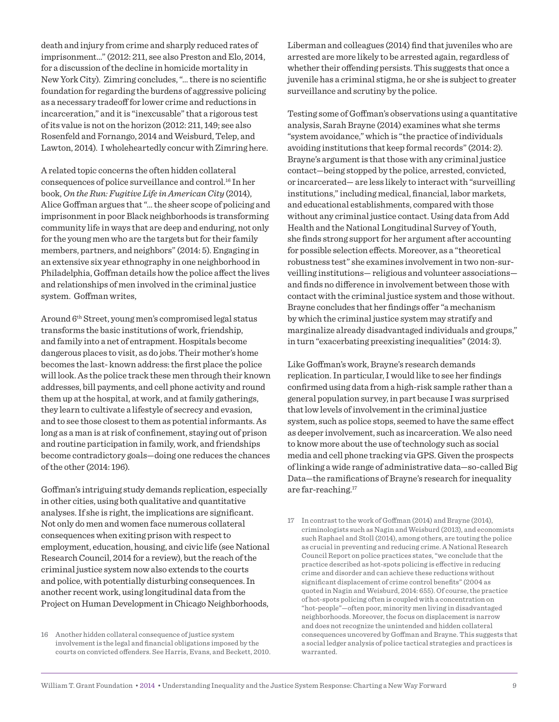death and injury from crime and sharply reduced rates of imprisonment…" (2012: 211, see also Preston and Elo, 2014, for a discussion of the decline in homicide mortality in New York City). Zimring concludes, "... there is no scientific foundation for regarding the burdens of aggressive policing as a necessary tradeoff for lower crime and reductions in incarceration," and it is "inexcusable" that a rigorous test of its value is not on the horizon (2012: 211, 149; see also Rosenfeld and Fornango, 2014 and Weisburd, Telep, and Lawton, 2014). I wholeheartedly concur with Zimring here.

A related topic concerns the often hidden collateral consequences of police surveillance and control.<sup>16</sup> In her book, *On the Run: Fugitive Life in American City* (2014), Alice Gofman argues that "… the sheer scope of policing and imprisonment in poor Black neighborhoods is transforming community life in ways that are deep and enduring, not only for the young men who are the targets but for their family members, partners, and neighbors" (2014: 5). Engaging in an extensive six year ethnography in one neighborhood in Philadelphia, Goffman details how the police affect the lives and relationships of men involved in the criminal justice system. Gofman writes,

Around 6th Street, young men's compromised legal status transforms the basic institutions of work, friendship, and family into a net of entrapment. Hospitals become dangerous places to visit, as do jobs. Their mother's home becomes the last-known address: the first place the police will look. As the police track these men through their known addresses, bill payments, and cell phone activity and round them up at the hospital, at work, and at family gatherings, they learn to cultivate a lifestyle of secrecy and evasion, and to see those closest to them as potential informants. As long as a man is at risk of confinement, staying out of prison and routine participation in family, work, and friendships become contradictory goals—doing one reduces the chances of the other (2014: 196).

Gofman's intriguing study demands replication, especially in other cities, using both qualitative and quantitative analyses. If she is right, the implications are significant. Not only do men and women face numerous collateral consequences when exiting prison with respect to employment, education, housing, and civic life (see National Research Council, 2014 for a review), but the reach of the criminal justice system now also extends to the courts and police, with potentially disturbing consequences. In another recent work, using longitudinal data from the Project on Human Development in Chicago Neighborhoods,

16 Another hidden collateral consequence of justice system involvement is the legal and financial obligations imposed by the courts on convicted ofenders. See Harris, Evans, and Beckett, 2010. Liberman and colleagues (2014) find that juveniles who are arrested are more likely to be arrested again, regardless of whether their offending persists. This suggests that once a juvenile has a criminal stigma, he or she is subject to greater surveillance and scrutiny by the police.

Testing some of Gofman's observations using a quantitative analysis, Sarah Brayne (2014) examines what she terms "system avoidance," which is "the practice of individuals avoiding institutions that keep formal records" (2014: 2). Brayne's argument is that those with any criminal justice contact—being stopped by the police, arrested, convicted, or incarcerated— are less likely to interact with "surveilling institutions," including medical, inancial, labor markets, and educational establishments, compared with those without any criminal justice contact. Using data from Add Health and the National Longitudinal Survey of Youth, she finds strong support for her argument after accounting for possible selection efects. Moreover, as a "theoretical robustness test" she examines involvement in two non-surveilling institutions— religious and volunteer associations and finds no difference in involvement between those with contact with the criminal justice system and those without. Brayne concludes that her findings offer "a mechanism" by which the criminal justice system may stratify and marginalize already disadvantaged individuals and groups," in turn "exacerbating preexisting inequalities" (2014: 3).

Like Gofman's work, Brayne's research demands replication. In particular, I would like to see her findings confirmed using data from a high-risk sample rather than a general population survey, in part because I was surprised that low levels of involvement in the criminal justice system, such as police stops, seemed to have the same efect as deeper involvement, such as incarceration. We also need to know more about the use of technology such as social media and cell phone tracking via GPS. Given the prospects of linking a wide range of administrative data—so-called Big Data—the ramifications of Brayne's research for inequality are far-reaching.<sup>17</sup>

17 In contrast to the work of Gofman (2014) and Brayne (2014), criminologists such as Nagin and Weisburd (2013), and economists such Raphael and Stoll (2014), among others, are touting the police as crucial in preventing and reducing crime. A National Research Council Report on police practices states, "we conclude that the practice described as hot-spots policing is efective in reducing crime and disorder and can achieve these reductions without significant displacement of crime control benefits" (2004 as quoted in Nagin and Weisburd, 2014: 655). Of course, the practice of hot-spots policing often is coupled with a concentration on "hot-people"—often poor, minority men living in disadvantaged neighborhoods. Moreover, the focus on displacement is narrow and does not recognize the unintended and hidden collateral consequences uncovered by Gofman and Brayne. This suggests that a social ledger analysis of police tactical strategies and practices is warranted.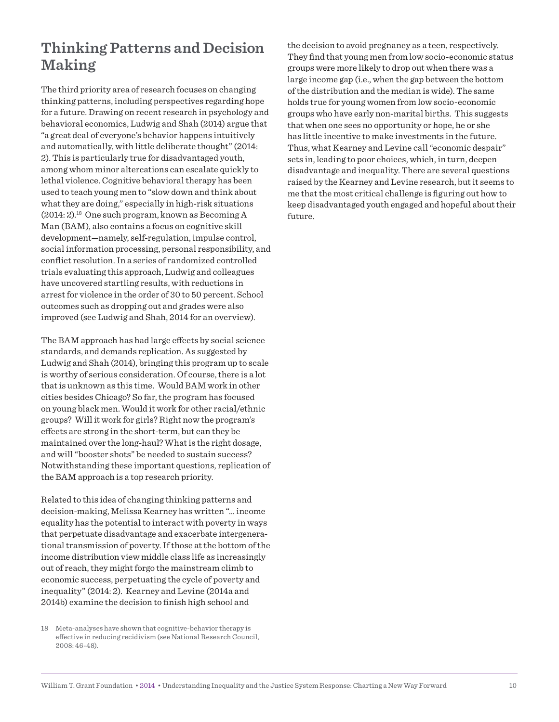### **Thinking Patterns and Decision Making**

The third priority area of research focuses on changing thinking patterns, including perspectives regarding hope for a future. Drawing on recent research in psychology and behavioral economics, Ludwig and Shah (2014) argue that "a great deal of everyone's behavior happens intuitively and automatically, with little deliberate thought" (2014: 2). This is particularly true for disadvantaged youth, among whom minor altercations can escalate quickly to lethal violence. Cognitive behavioral therapy has been used to teach young men to "slow down and think about what they are doing," especially in high-risk situations  $(2014:2).$ <sup>18</sup> One such program, known as Becoming A Man (BAM), also contains a focus on cognitive skill development—namely, self-regulation, impulse control, social information processing, personal responsibility, and conflict resolution. In a series of randomized controlled trials evaluating this approach, Ludwig and colleagues have uncovered startling results, with reductions in arrest for violence in the order of 30 to 50 percent. School outcomes such as dropping out and grades were also improved (see Ludwig and Shah, 2014 for an overview).

The BAM approach has had large efects by social science standards, and demands replication. As suggested by Ludwig and Shah (2014), bringing this program up to scale is worthy of serious consideration. Of course, there is a lot that is unknown as this time. Would BAM work in other cities besides Chicago? So far, the program has focused on young black men. Would it work for other racial/ethnic groups? Will it work for girls? Right now the program's efects are strong in the short-term, but can they be maintained over the long-haul? What is the right dosage, and will "booster shots" be needed to sustain success? Notwithstanding these important questions, replication of the BAM approach is a top research priority.

Related to this idea of changing thinking patterns and decision-making, Melissa Kearney has written "… income equality has the potential to interact with poverty in ways that perpetuate disadvantage and exacerbate intergenerational transmission of poverty. If those at the bottom of the income distribution view middle class life as increasingly out of reach, they might forgo the mainstream climb to economic success, perpetuating the cycle of poverty and inequality" (2014: 2). Kearney and Levine (2014a and 2014b) examine the decision to finish high school and

the decision to avoid pregnancy as a teen, respectively. They find that young men from low socio-economic status groups were more likely to drop out when there was a large income gap (i.e., when the gap between the bottom of the distribution and the median is wide). The same holds true for young women from low socio-economic groups who have early non-marital births. This suggests that when one sees no opportunity or hope, he or she has little incentive to make investments in the future. Thus, what Kearney and Levine call "economic despair" sets in, leading to poor choices, which, in turn, deepen disadvantage and inequality. There are several questions raised by the Kearney and Levine research, but it seems to me that the most critical challenge is figuring out how to keep disadvantaged youth engaged and hopeful about their future.

<sup>18</sup> Meta-analyses have shown that cognitive-behavior therapy is efective in reducing recidivism (see National Research Council, 2008: 46-48).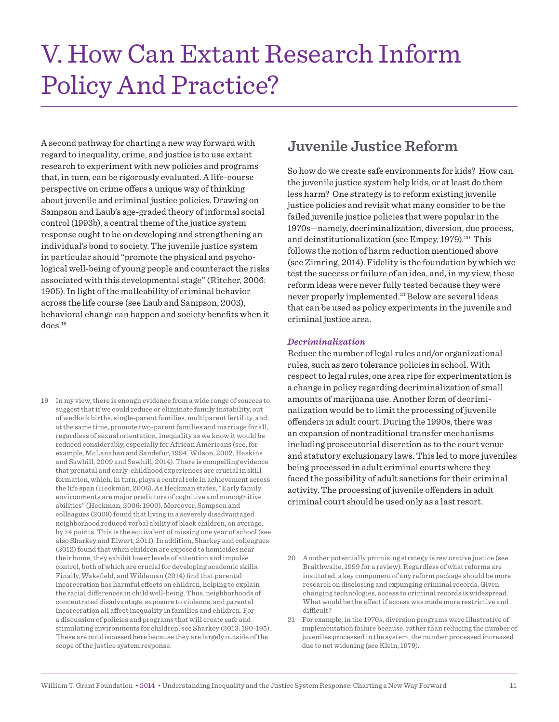## V. How Can Extant Research Inform Policy And Practice?

A second pathway for charting a new way forward with regard to inequality, crime, and justice is to use extant research to experiment with new policies and programs that, in turn, can be rigorously evaluated. A life-course perspective on crime offers a unique way of thinking about juvenile and criminal justice policies. Drawing on Sampson and Laub's age-graded theory of informal social control (1993b), a central theme of the justice system response ought to be on developing and strengthening an individual's bond to society. The juvenile justice system in particular should "promote the physical and psychological well-being of young people and counteract the risks associated with this developmental stage" (Ritcher, 2006: 1905). In light of the malleability of criminal behavior across the life course (see Laub and Sampson, 2003), behavioral change can happen and society benefits when it does.<sup>19</sup>

19 In my view, there is enough evidence from a wide range of sources to suggest that if we could reduce or eliminate family instability, out of wedlock births, single-parent families, multiparent fertility, and, at the same time, promote two-parent families and marriage for all, regardless of sexual orientation, inequality as we know it would be reduced considerably, especially for African Americans (see, for example, McLanahan and Sandefur, 1994, Wilson, 2002, Haskins and Sawhill, 2009 and Sawhill, 2014). There is compelling evidence that prenatal and early-childhood experiences are crucial in skill formation, which, in turn, plays a central role in achievement across the life span (Heckman, 2006). As Heckman states, "Early family environments are major predictors of cognitive and noncognitive abilities" (Heckman, 2006: 1900). Moreover, Sampson and colleagues (2008) found that living in a severely disadvantaged neighborhood reduced verbal ability of black children, on average, by >4 points. This is the equivalent of missing one year of school (see also Sharkey and Elwert, 2011). In addition, Sharkey and colleagues (2012) found that when children are exposed to homicides near their home, they exhibit lower levels of attention and impulse control, both of which are crucial for developing academic skills. Finally, Wakefield, and Wildeman (2014) find that parental incarceration has harmful efects on children, helping to explain the racial diferences in child well-being. Thus, neighborhoods of concentrated disadvantage, exposure to violence, and parental incarceration all afect inequality in families and children. For a discussion of policies and programs that will create safe and stimulating environments for children, see Sharkey (2013: 190-195). These are not discussed here because they are largely outside of the scope of the justice system response.

### **Juvenile Justice Reform**

So how do we create safe environments for kids? How can the juvenile justice system help kids, or at least do them less harm? One strategy is to reform existing juvenile justice policies and revisit what many consider to be the failed juvenile justice policies that were popular in the 1970s—namely, decriminalization, diversion, due process, and deinstitutionalization (see Empey, 1979).<sup>20</sup> This follows the notion of harm reduction mentioned above (see Zimring, 2014). Fidelity is the foundation by which we test the success or failure of an idea, and, in my view, these reform ideas were never fully tested because they were never properly implemented.<sup>21</sup> Below are several ideas that can be used as policy experiments in the juvenile and criminal justice area.

#### *Decriminalization*

Reduce the number of legal rules and/or organizational rules, such as zero tolerance policies in school. With respect to legal rules, one area ripe for experimentation is a change in policy regarding decriminalization of small amounts of marijuana use. Another form of decriminalization would be to limit the processing of juvenile ofenders in adult court. During the 1990s, there was an expansion of nontraditional transfer mechanisms including prosecutorial discretion as to the court venue and statutory exclusionary laws. This led to more juveniles being processed in adult criminal courts where they faced the possibility of adult sanctions for their criminal activity. The processing of juvenile offenders in adult criminal court should be used only as a last resort.

20 Another potentially promising strategy is restorative justice (see Braithwaite, 1999 for a review). Regardless of what reforms are instituted, a key component of any reform package should be more research on disclosing and expunging criminal records. Given changing technologies, access to criminal records is widespread. What would be the efect if access was made more restrictive and difficult?

21 For example, in the 1970s, diversion programs were illustrative of implementation failure because. rather than reducing the number of juveniles processed in the system, the number processed increased due to net widening (see Klein, 1979).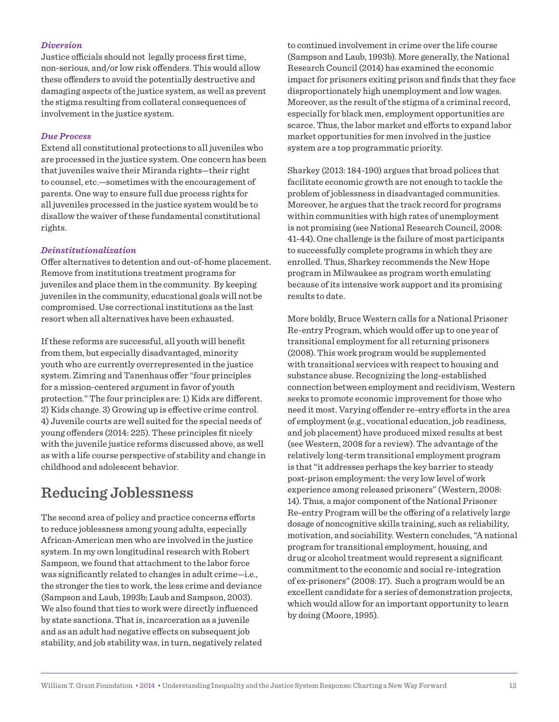#### *Diversion*

Justice officials should not legally process first time, non-serious, and/or low risk ofenders. This would allow these offenders to avoid the potentially destructive and damaging aspects of the justice system, as well as prevent the stigma resulting from collateral consequences of involvement in the justice system.

#### *Due Process*

Extend all constitutional protections to all juveniles who are processed in the justice system. One concern has been that juveniles waive their Miranda rights—their right to counsel, etc.—sometimes with the encouragement of parents. One way to ensure full due process rights for all juveniles processed in the justice system would be to disallow the waiver of these fundamental constitutional rights.

#### *Deinstitutionalization*

Offer alternatives to detention and out-of-home placement. Remove from institutions treatment programs for juveniles and place them in the community. By keeping juveniles in the community, educational goals will not be compromised. Use correctional institutions as the last resort when all alternatives have been exhausted.

If these reforms are successful, all youth will benefit from them, but especially disadvantaged, minority youth who are currently overrepresented in the justice system. Zimring and Tanenhaus offer "four principles for a mission-centered argument in favor of youth protection." The four principles are: 1) Kids are diferent. 2) Kids change. 3) Growing up is efective crime control. 4) Juvenile courts are well suited for the special needs of young offenders (2014: 225). These principles fit nicely with the juvenile justice reforms discussed above, as well as with a life course perspective of stability and change in childhood and adolescent behavior.

### **Reducing Joblessness**

The second area of policy and practice concerns efforts to reduce joblessness among young adults, especially African-American men who are involved in the justice system. In my own longitudinal research with Robert Sampson, we found that attachment to the labor force was significantly related to changes in adult crime—i.e., the stronger the ties to work, the less crime and deviance (Sampson and Laub, 1993b; Laub and Sampson, 2003). We also found that ties to work were directly influenced by state sanctions. That is, incarceration as a juvenile and as an adult had negative efects on subsequent job stability, and job stability was, in turn, negatively related to continued involvement in crime over the life course (Sampson and Laub, 1993b). More generally, the National Research Council (2014) has examined the economic impact for prisoners exiting prison and finds that they face disproportionately high unemployment and low wages. Moreover, as the result of the stigma of a criminal record, especially for black men, employment opportunities are scarce. Thus, the labor market and efforts to expand labor market opportunities for men involved in the justice system are a top programmatic priority.

Sharkey (2013: 184-190) argues that broad polices that facilitate economic growth are not enough to tackle the problem of joblessness in disadvantaged communities. Moreover, he argues that the track record for programs within communities with high rates of unemployment is not promising (see National Research Council, 2008: 41-44). One challenge is the failure of most participants to successfully complete programs in which they are enrolled. Thus, Sharkey recommends the New Hope program in Milwaukee as program worth emulating because of its intensive work support and its promising results to date.

More boldly, Bruce Western calls for a National Prisoner Re-entry Program, which would offer up to one year of transitional employment for all returning prisoners (2008). This work program would be supplemented with transitional services with respect to housing and substance abuse. Recognizing the long-established connection between employment and recidivism, Western seeks to promote economic improvement for those who need it most. Varying offender re-entry efforts in the area of employment (e.g., vocational education, job readiness, and job placement) have produced mixed results at best (see Western, 2008 for a review). The advantage of the relatively long-term transitional employment program is that "it addresses perhaps the key barrier to steady post-prison employment: the very low level of work experience among released prisoners" (Western, 2008: 14). Thus, a major component of the National Prisoner Re-entry Program will be the ofering of a relatively large dosage of noncognitive skills training, such as reliability, motivation, and sociability. Western concludes, "A national program for transitional employment, housing, and drug or alcohol treatment would represent a significant commitment to the economic and social re-integration of ex-prisoners" (2008: 17). Such a program would be an excellent candidate for a series of demonstration projects, which would allow for an important opportunity to learn by doing (Moore, 1995).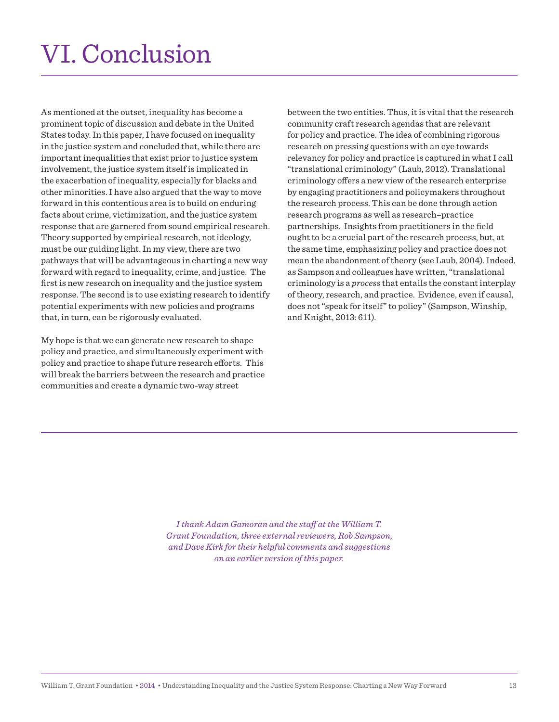# VI. Conclusion

As mentioned at the outset, inequality has become a prominent topic of discussion and debate in the United States today. In this paper, I have focused on inequality in the justice system and concluded that, while there are important inequalities that exist prior to justice system involvement, the justice system itself is implicated in the exacerbation of inequality, especially for blacks and other minorities. I have also argued that the way to move forward in this contentious area is to build on enduring facts about crime, victimization, and the justice system response that are garnered from sound empirical research. Theory supported by empirical research, not ideology, must be our guiding light. In my view, there are two pathways that will be advantageous in charting a new way forward with regard to inequality, crime, and justice. The first is new research on inequality and the justice system response. The second is to use existing research to identify potential experiments with new policies and programs that, in turn, can be rigorously evaluated.

My hope is that we can generate new research to shape policy and practice, and simultaneously experiment with policy and practice to shape future research efforts. This will break the barriers between the research and practice communities and create a dynamic two-way street

between the two entities. Thus, it is vital that the research community craft research agendas that are relevant for policy and practice. The idea of combining rigorous research on pressing questions with an eye towards relevancy for policy and practice is captured in what I call "translational criminology" (Laub, 2012). Translational criminology ofers a new view of the research enterprise by engaging practitioners and policymakers throughout the research process. This can be done through action research programs as well as research–practice partnerships. Insights from practitioners in the field ought to be a crucial part of the research process, but, at the same time, emphasizing policy and practice does not mean the abandonment of theory (see Laub, 2004). Indeed, as Sampson and colleagues have written, "translational criminology is a *process* that entails the constant interplay of theory, research, and practice. Evidence, even if causal, does not "speak for itself" to policy" (Sampson, Winship, and Knight, 2013: 611).

*I thank Adam Gamoran and the staf at the William T. Grant Foundation, three external reviewers, Rob Sampson, and Dave Kirk for their helpful comments and suggestions on an earlier version of this paper.*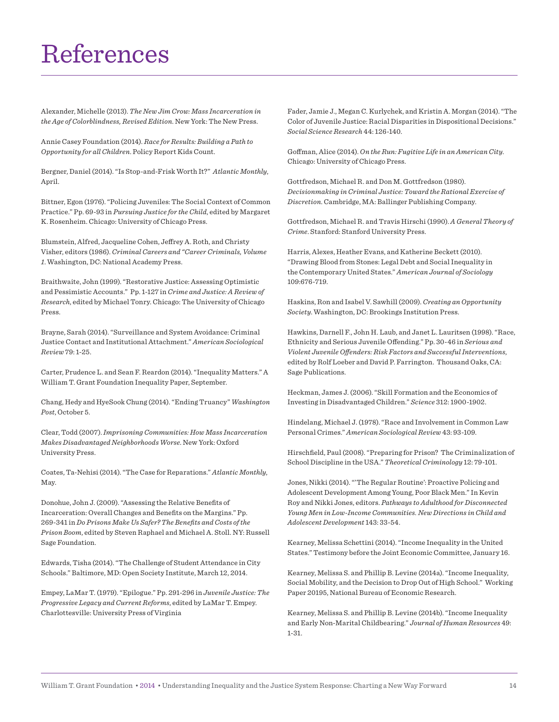## References

Alexander, Michelle (2013). *The New Jim Crow: Mass Incarceration in the Age of Colorblindness, Revised Edition*. New York: The New Press.

Annie Casey Foundation (2014). *Race for Results: Building a Path to Opportunity for all Children*. Policy Report Kids Count.

Bergner, Daniel (2014). "Is Stop-and-Frisk Worth It?" *Atlantic Monthly*, April.

Bittner, Egon (1976). "Policing Juveniles: The Social Context of Common Practice." Pp. 69-93 in *Pursuing Justice for the Child*, edited by Margaret K. Rosenheim. Chicago: University of Chicago Press.

Blumstein, Alfred, Jacqueline Cohen, Jefrey A. Roth, and Christy Visher, editors (1986). *Criminal Careers and "Career Criminals, Volume 1*. Washington, DC: National Academy Press.

Braithwaite, John (1999). "Restorative Justice: Assessing Optimistic and Pessimistic Accounts." Pp. 1-127 in *Crime and Justice: A Review of Research*, edited by Michael Tonry. Chicago: The University of Chicago Press.

Brayne, Sarah (2014). "Surveillance and System Avoidance: Criminal Justice Contact and Institutional Attachment." *American Sociological Review* 79: 1-25.

Carter, Prudence L. and Sean F. Reardon (2014). "Inequality Matters." A William T. Grant Foundation Inequality Paper, September.

Chang, Hedy and HyeSook Chung (2014). "Ending Truancy" *Washington Post*, October 5.

Clear, Todd (2007). *Imprisoning Communities: How Mass Incarceration Makes Disadvantaged Neighborhoods Worse*. New York: Oxford University Press.

Coates, Ta-Nehisi (2014). "The Case for Reparations." *Atlantic Monthly*, May.

Donohue, John J. (2009). "Assessing the Relative Benefits of Incarceration: Overall Changes and Benefits on the Margins." Pp. 269-341 in *Do Prisons Make Us Safer? The Beneits and Costs of the Prison Boom*, edited by Steven Raphael and Michael A. Stoll. NY: Russell Sage Foundation.

Edwards, Tisha (2014). "The Challenge of Student Attendance in City Schools." Baltimore, MD: Open Society Institute, March 12, 2014.

Empey, LaMar T. (1979). "Epilogue." Pp. 291-296 in *Juvenile Justice: The Progressive Legacy and Current Reforms*, edited by LaMar T. Empey. Charlottesville: University Press of Virginia

Fader, Jamie J., Megan C. Kurlychek, and Kristin A. Morgan (2014). "The Color of Juvenile Justice: Racial Disparities in Dispositional Decisions." *Social Science Research* 44: 126-140.

Gofman, Alice (2014). *On the Run: Fugitive Life in an American City*. Chicago: University of Chicago Press.

Gottfredson, Michael R. and Don M. Gottfredson (1980). *Decisionmaking in Criminal Justice: Toward the Rational Exercise of Discretion*. Cambridge, MA: Ballinger Publishing Company.

Gottfredson, Michael R. and Travis Hirschi (1990). *A General Theory of Crime*. Stanford: Stanford University Press.

Harris, Alexes, Heather Evans, and Katherine Beckett (2010). "Drawing Blood from Stones: Legal Debt and Social Inequality in the Contemporary United States." *American Journal of Sociology* 109:676-719.

Haskins, Ron and Isabel V. Sawhill (2009). *Creating an Opportunity Society*. Washington, DC: Brookings Institution Press.

Hawkins, Darnell F., John H. Laub, and Janet L. Lauritsen (1998). "Race, Ethnicity and Serious Juvenile Ofending." Pp. 30-46 in *Serious and Violent Juvenile Ofenders: Risk Factors and Successful Interventions*, edited by Rolf Loeber and David P. Farrington. Thousand Oaks, CA: Sage Publications.

Heckman, James J. (2006). "Skill Formation and the Economics of Investing in Disadvantaged Children." *Science* 312: 1900-1902.

Hindelang, Michael J. (1978). "Race and Involvement in Common Law Personal Crimes." *American Sociological Review* 43: 93-109.

Hirschield, Paul (2008). "Preparing for Prison? The Criminalization of School Discipline in the USA." *Theoretical Criminology* 12: 79-101.

Jones, Nikki (2014). "'The Regular Routine': Proactive Policing and Adolescent Development Among Young, Poor Black Men." In Kevin Roy and Nikki Jones, editors. *Pathways to Adulthood for Disconnected Young Men in Low-Income Communities. New Directions in Child and Adolescent Development* 143: 33-54.

Kearney, Melissa Schettini (2014). "Income Inequality in the United States." Testimony before the Joint Economic Committee, January 16.

Kearney, Melissa S. and Phillip B. Levine (2014a). "Income Inequality, Social Mobility, and the Decision to Drop Out of High School." Working Paper 20195, National Bureau of Economic Research.

Kearney, Melissa S. and Phillip B. Levine (2014b). "Income Inequality and Early Non-Marital Childbearing." *Journal of Human Resources* 49: 1-31.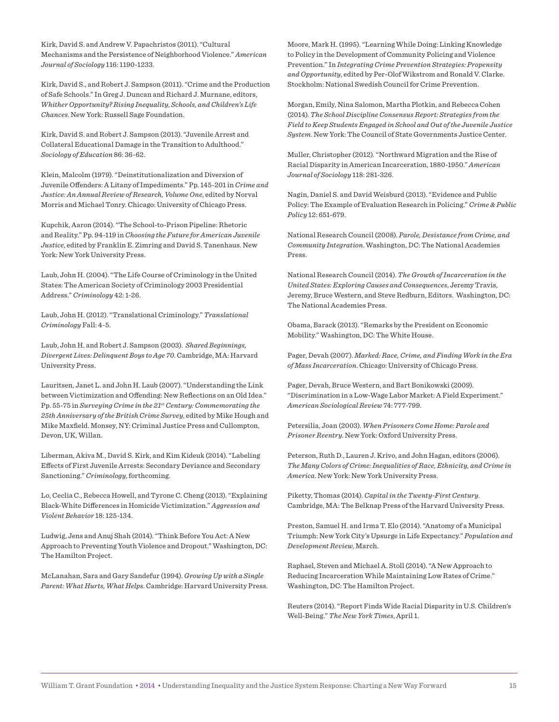Kirk, David S. and Andrew V. Papachristos (2011). "Cultural Mechanisms and the Persistence of Neighborhood Violence." *American Journal of Sociology* 116: 1190-1233.

Kirk, David S., and Robert J. Sampson (2011). "Crime and the Production of Safe Schools." In Greg J. Duncan and Richard J. Murnane, editors, *Whither Opportunity? Rising Inequality*, *Schools, and Children's Life Chances*. New York: Russell Sage Foundation.

Kirk, David S. and Robert J. Sampson (2013). "Juvenile Arrest and Collateral Educational Damage in the Transition to Adulthood." *Sociology of Education* 86: 36-62.

Klein, Malcolm (1979). "Deinstitutionalization and Diversion of Juvenile Ofenders: A Litany of Impediments." Pp. 145-201 in *Crime and Justice: An Annual Review of Research, Volume One*, edited by Norval Morris and Michael Tonry. Chicago: University of Chicago Press.

Kupchik, Aaron (2014). "The School-to-Prison Pipeline: Rhetoric and Reality." Pp. 94-119 in *Choosing the Future for American Juvenile Justice*, edited by Franklin E. Zimring and David S. Tanenhaus. New York: New York University Press.

Laub, John H. (2004). "The Life Course of Criminology in the United States: The American Society of Criminology 2003 Presidential Address." *Criminology* 42: 1-26.

Laub, John H. (2012). "Translational Criminology." *Translational Criminology* Fall: 4-5.

Laub, John H. and Robert J. Sampson (2003). *Shared Beginnings, Divergent Lives: Delinquent Boys to Age 70*. Cambridge, MA: Harvard University Press.

Lauritsen, Janet L. and John H. Laub (2007). "Understanding the Link between Victimization and Offending: New Reflections on an Old Idea." Pp. 55-75 in *Surveying Crime in the 21st Century: Commemorating the 25th Anniversary of the British Crime Survey*, edited by Mike Hough and Mike Maxield. Monsey, NY: Criminal Justice Press and Cullompton, Devon, UK, Willan.

Liberman, Akiva M., David S. Kirk, and Kim Kideuk (2014). "Labeling Efects of First Juvenile Arrests: Secondary Deviance and Secondary Sanctioning." *Criminology*, forthcoming.

Lo, Ceclia C., Rebecca Howell, and Tyrone C. Cheng (2013). "Explaining Black-White Diferences in Homicide Victimization." *Aggression and Violent Behavior* 18: 125-134.

Ludwig, Jens and Anuj Shah (2014). "Think Before You Act: A New Approach to Preventing Youth Violence and Dropout." Washington, DC: The Hamilton Project.

McLanahan, Sara and Gary Sandefur (1994). *Growing Up with a Single Parent: What Hurts, What Helps*. Cambridge: Harvard University Press. Moore, Mark H. (1995). "Learning While Doing: Linking Knowledge to Policy in the Development of Community Policing and Violence Prevention." In *Integrating Crime Prevention Strategies: Propensity and Opportunity*, edited by Per-Olof Wikstrom and Ronald V. Clarke. Stockholm: National Swedish Council for Crime Prevention.

Morgan, Emily, Nina Salomon, Martha Plotkin, and Rebecca Cohen (2014). *The School Discipline Consensus Report: Strategies from the Field to Keep Students Engaged in School and Out of the Juvenile Justice System*. New York: The Council of State Governments Justice Center.

Muller, Christopher (2012). "Northward Migration and the Rise of Racial Disparity in American Incarceration, 1880-1950." *American Journal of Sociology* 118: 281-326.

Nagin, Daniel S. and David Weisburd (2013). "Evidence and Public Policy: The Example of Evaluation Research in Policing." *Crime & Public Policy* 12: 651-679.

National Research Council (2008). *Parole, Desistance from Crime, and Community Integration*. Washington, DC: The National Academies Press.

National Research Council (2014). *The Growth of Incarceration in the United States: Exploring Causes and Consequences*, Jeremy Travis, Jeremy, Bruce Western, and Steve Redburn, Editors. Washington, DC: The National Academies Press.

Obama, Barack (2013). "Remarks by the President on Economic Mobility." Washington, DC: The White House.

Pager, Devah (2007). *Marked: Race, Crime, and Finding Work in the Era of Mass Incarceration*. Chicago: University of Chicago Press.

Pager, Devah, Bruce Western, and Bart Bonikowski (2009). "Discrimination in a Low-Wage Labor Market: A Field Experiment." *American Sociological Review* 74: 777-799.

Petersilia, Joan (2003). *When Prisoners Come Home: Parole and Prisoner Reentry*. New York: Oxford University Press.

Peterson, Ruth D., Lauren J. Krivo, and John Hagan, editors (2006). *The Many Colors of Crime: Inequalities of Race, Ethnicity, and Crime in America*. New York: New York University Press.

Piketty, Thomas (2014). *Capital in the Twenty-First Century*. Cambridge, MA: The Belknap Press of the Harvard University Press.

Preston, Samuel H. and Irma T. Elo (2014). "Anatomy of a Municipal Triumph: New York City's Upsurge in Life Expectancy." *Population and Development Review*, March.

Raphael, Steven and Michael A. Stoll (2014). "A New Approach to Reducing Incarceration While Maintaining Low Rates of Crime." Washington, DC: The Hamilton Project.

Reuters (2014). "Report Finds Wide Racial Disparity in U.S. Children's Well-Being." *The New York Times*, April 1.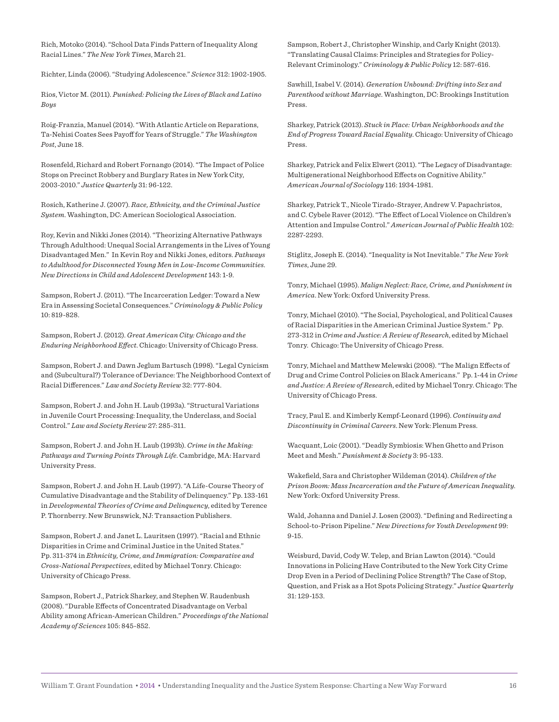Rich, Motoko (2014). "School Data Finds Pattern of Inequality Along Racial Lines." *The New York Times*, March 21.

Richter, Linda (2006). "Studying Adolescence." *Science* 312: 1902-1905.

Rios, Victor M. (2011). *Punished: Policing the Lives of Black and Latino Boys*

Roig-Franzia, Manuel (2014). "With Atlantic Article on Reparations, Ta-Nehisi Coates Sees Payoff for Years of Struggle." The Washington *Post*, June 18.

Rosenfeld, Richard and Robert Fornango (2014). "The Impact of Police Stops on Precinct Robbery and Burglary Rates in New York City, 2003-2010." *Justice Quarterly* 31: 96-122.

Rosich, Katherine J. (2007). *Race, Ethnicity, and the Criminal Justice System*. Washington, DC: American Sociological Association.

Roy, Kevin and Nikki Jones (2014). "Theorizing Alternative Pathways Through Adulthood: Unequal Social Arrangements in the Lives of Young Disadvantaged Men." In Kevin Roy and Nikki Jones, editors. *Pathways to Adulthood for Disconnected Young Men in Low-Income Communities. New Directions in Child and Adolescent Development* 143: 1-9.

Sampson, Robert J. (2011). "The Incarceration Ledger: Toward a New Era in Assessing Societal Consequences." *Criminology & Public Policy* 10: 819-828.

Sampson, Robert J. (2012). *Great American City: Chicago and the Enduring Neighborhood Efect*. Chicago: University of Chicago Press.

Sampson, Robert J. and Dawn Jeglum Bartusch (1998). "Legal Cynicism and (Subcultural?) Tolerance of Deviance: The Neighborhood Context of Racial Diferences." *Law and Society Review* 32: 777-804.

Sampson, Robert J. and John H. Laub (1993a). "Structural Variations in Juvenile Court Processing: Inequality, the Underclass, and Social Control." *Law and Society Review* 27: 285-311.

Sampson, Robert J. and John H. Laub (1993b). *Crime in the Making: Pathways and Turning Points Through Life*. Cambridge, MA: Harvard University Press.

Sampson, Robert J. and John H. Laub (1997). "A Life-Course Theory of Cumulative Disadvantage and the Stability of Delinquency." Pp. 133-161 in *Developmental Theories of Crime and Delinquency*, edited by Terence P. Thornberry. New Brunswick, NJ: Transaction Publishers.

Sampson, Robert J. and Janet L. Lauritsen (1997). "Racial and Ethnic Disparities in Crime and Criminal Justice in the United States." Pp. 311-374 in *Ethnicity, Crime, and Immigration: Comparative and Cross-National Perspectives*, edited by Michael Tonry. Chicago: University of Chicago Press.

Sampson, Robert J., Patrick Sharkey, and Stephen W. Raudenbush (2008). "Durable Efects of Concentrated Disadvantage on Verbal Ability among African-American Children." *Proceedings of the National Academy of Sciences* 105: 845-852.

Sampson, Robert J., Christopher Winship, and Carly Knight (2013). "Translating Causal Claims: Principles and Strategies for Policy-Relevant Criminology." *Criminology & Public Policy* 12: 587-616.

Sawhill, Isabel V. (2014). *Generation Unbound: Drifting into Sex and Parenthood without Marriage*. Washington, DC: Brookings Institution Press.

Sharkey, Patrick (2013). *Stuck in Place: Urban Neighborhoods and the End of Progress Toward Racial Equality*. Chicago: University of Chicago Press.

Sharkey, Patrick and Felix Elwert (2011). "The Legacy of Disadvantage: Multigenerational Neighborhood Efects on Cognitive Ability." *American Journal of Sociology* 116: 1934-1981.

Sharkey, Patrick T., Nicole Tirado-Strayer, Andrew V. Papachristos, and C. Cybele Raver (2012). "The Efect of Local Violence on Children's Attention and Impulse Control." *American Journal of Public Health* 102: 2287-2293.

Stiglitz, Joseph E. (2014). "Inequality is Not Inevitable." *The New York Times*, June 29.

Tonry, Michael (1995). *Malign Neglect: Race, Crime, and Punishment in America*. New York: Oxford University Press.

Tonry, Michael (2010). "The Social, Psychological, and Political Causes of Racial Disparities in the American Criminal Justice System." Pp. 273-312 in *Crime and Justice: A Review of Research*, edited by Michael Tonry. Chicago: The University of Chicago Press.

Tonry, Michael and Matthew Melewski (2008). "The Malign Efects of Drug and Crime Control Policies on Black Americans." Pp. 1-44 in *Crime and Justice: A Review of Research*, edited by Michael Tonry. Chicago: The University of Chicago Press.

Tracy, Paul E. and Kimberly Kempf-Leonard (1996). *Continuity and Discontinuity in Criminal Careers*. New York: Plenum Press.

Wacquant, Loic (2001). "Deadly Symbiosis: When Ghetto and Prison Meet and Mesh." *Punishment & Society* 3: 95-133.

Wakeield, Sara and Christopher Wildeman (2014). *Children of the Prison Boom: Mass Incarceration and the Future of American Inequality*. New York: Oxford University Press.

Wald, Johanna and Daniel J. Losen (2003). "Defining and Redirecting a School-to-Prison Pipeline." *New Directions for Youth Development* 99: 9-15.

Weisburd, David, Cody W. Telep, and Brian Lawton (2014). "Could Innovations in Policing Have Contributed to the New York City Crime Drop Even in a Period of Declining Police Strength? The Case of Stop, Question, and Frisk as a Hot Spots Policing Strategy." *Justice Quarterly* 31: 129-153.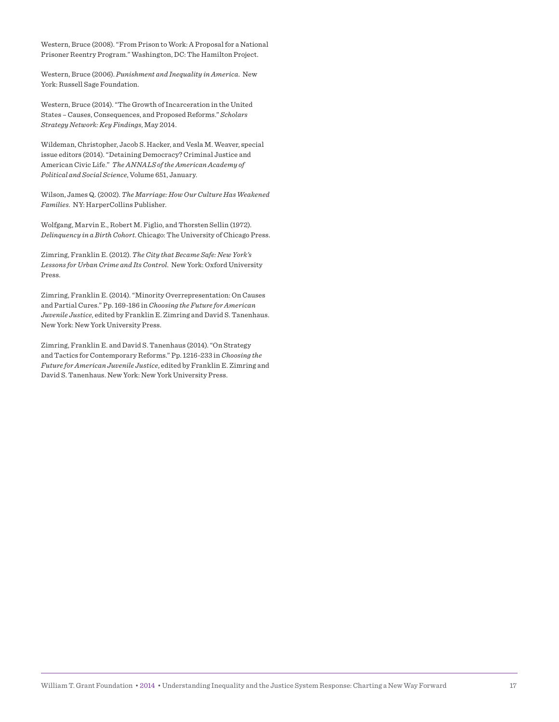Western, Bruce (2008). "From Prison to Work: A Proposal for a National Prisoner Reentry Program." Washington, DC: The Hamilton Project.

Western, Bruce (2006). *Punishment and Inequality in America*. New York: Russell Sage Foundation.

Western, Bruce (2014). "The Growth of Incarceration in the United States – Causes, Consequences, and Proposed Reforms." *Scholars Strategy Network: Key Findings*, May 2014.

Wildeman, Christopher, Jacob S. Hacker, and Vesla M. Weaver, special issue editors (2014). "Detaining Democracy? Criminal Justice and American Civic Life." *The ANNALS of the American Academy of Political and Social Science*, Volume 651, January.

Wilson, James Q. (2002). *The Marriage: How Our Culture Has Weakened Families*. NY: HarperCollins Publisher.

Wolfgang, Marvin E., Robert M. Figlio, and Thorsten Sellin (1972). *Delinquency in a Birth Cohort*. Chicago: The University of Chicago Press.

Zimring, Franklin E. (2012). *The City that Became Safe: New York's Lessons for Urban Crime and Its Control*. New York: Oxford University Press.

Zimring, Franklin E. (2014). "Minority Overrepresentation: On Causes and Partial Cures." Pp. 169-186 in *Choosing the Future for American Juvenile Justice*, edited by Franklin E. Zimring and David S. Tanenhaus. New York: New York University Press.

Zimring, Franklin E. and David S. Tanenhaus (2014). "On Strategy and Tactics for Contemporary Reforms." Pp. 1216-233 in *Choosing the Future for American Juvenile Justice*, edited by Franklin E. Zimring and David S. Tanenhaus. New York: New York University Press.